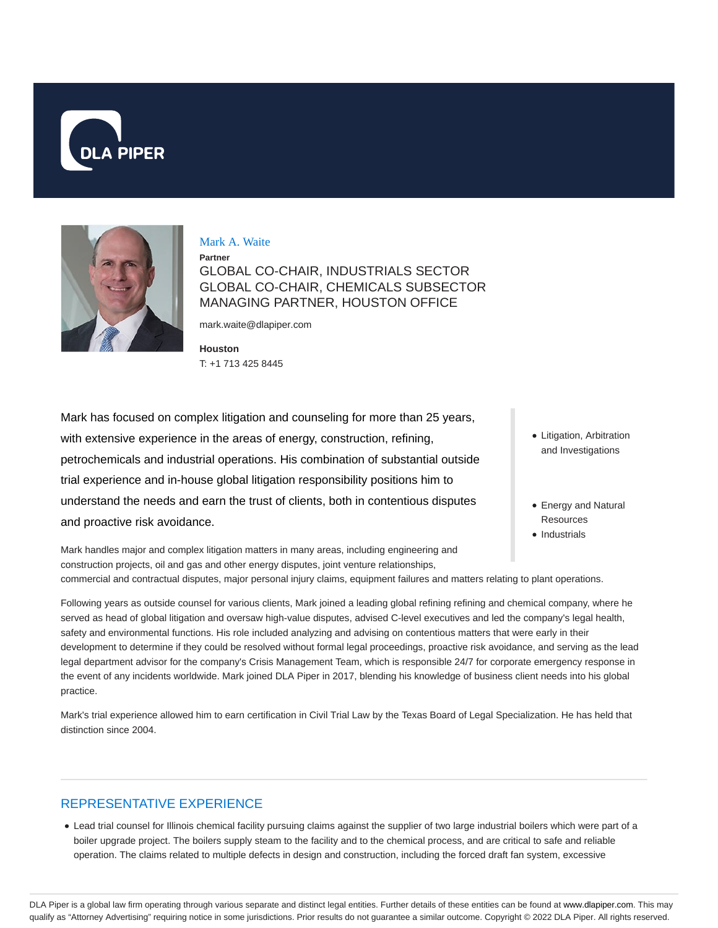



Mark A. Waite

**Partner**

GLOBAL CO-CHAIR, INDUSTRIALS SECTOR GLOBAL CO-CHAIR, CHEMICALS SUBSECTOR MANAGING PARTNER, HOUSTON OFFICE

mark.waite@dlapiper.com

**Houston** T: +1 713 425 8445

Mark has focused on complex litigation and counseling for more than 25 years, with extensive experience in the areas of energy, construction, refining, petrochemicals and industrial operations. His combination of substantial outside trial experience and in-house global litigation responsibility positions him to understand the needs and earn the trust of clients, both in contentious disputes and proactive risk avoidance.

- Litigation, Arbitration and Investigations
- Energy and Natural Resources
- Industrials

Mark handles major and complex litigation matters in many areas, including engineering and construction projects, oil and gas and other energy disputes, joint venture relationships, commercial and contractual disputes, major personal injury claims, equipment failures and matters relating to plant operations.

Following years as outside counsel for various clients, Mark joined a leading global refining refining and chemical company, where he served as head of global litigation and oversaw high-value disputes, advised C-level executives and led the company's legal health, safety and environmental functions. His role included analyzing and advising on contentious matters that were early in their development to determine if they could be resolved without formal legal proceedings, proactive risk avoidance, and serving as the lead legal department advisor for the company's Crisis Management Team, which is responsible 24/7 for corporate emergency response in the event of any incidents worldwide. Mark joined DLA Piper in 2017, blending his knowledge of business client needs into his global practice.

Mark's trial experience allowed him to earn certification in Civil Trial Law by the Texas Board of Legal Specialization. He has held that distinction since 2004.

## REPRESENTATIVE EXPERIENCE

Lead trial counsel for Illinois chemical facility pursuing claims against the supplier of two large industrial boilers which were part of a boiler upgrade project. The boilers supply steam to the facility and to the chemical process, and are critical to safe and reliable operation. The claims related to multiple defects in design and construction, including the forced draft fan system, excessive

DLA Piper is a global law firm operating through various separate and distinct legal entities. Further details of these entities can be found at www.dlapiper.com. This may qualify as "Attorney Advertising" requiring notice in some jurisdictions. Prior results do not guarantee a similar outcome. Copyright © 2022 DLA Piper. All rights reserved.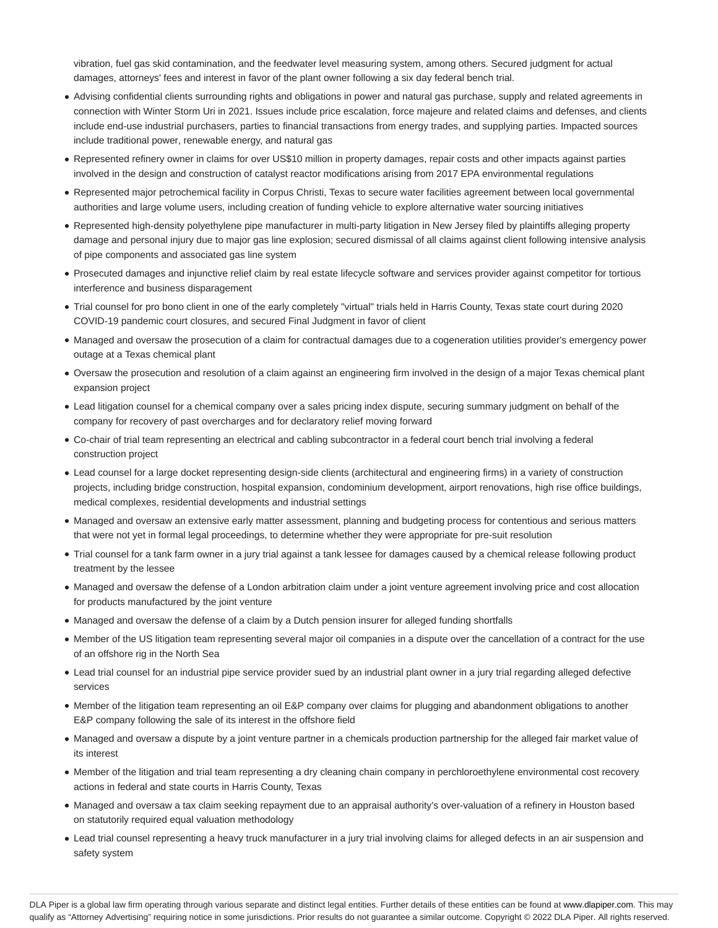vibration, fuel gas skid contamination, and the feedwater level measuring system, among others. Secured judgment for actual damages, attorneys' fees and interest in favor of the plant owner following a six day federal bench trial.

- Advising confidential clients surrounding rights and obligations in power and natural gas purchase, supply and related agreements in connection with Winter Storm Uri in 2021. Issues include price escalation, force majeure and related claims and defenses, and clients include end-use industrial purchasers, parties to financial transactions from energy trades, and supplying parties. Impacted sources include traditional power, renewable energy, and natural gas
- Represented refinery owner in claims for over US\$10 million in property damages, repair costs and other impacts against parties involved in the design and construction of catalyst reactor modifications arising from 2017 EPA environmental regulations
- Represented major petrochemical facility in Corpus Christi, Texas to secure water facilities agreement between local governmental authorities and large volume users, including creation of funding vehicle to explore alternative water sourcing initiatives
- Represented high-density polyethylene pipe manufacturer in multi-party litigation in New Jersey filed by plaintiffs alleging property damage and personal injury due to major gas line explosion; secured dismissal of all claims against client following intensive analysis of pipe components and associated gas line system
- Prosecuted damages and injunctive relief claim by real estate lifecycle software and services provider against competitor for tortious interference and business disparagement
- Trial counsel for pro bono client in one of the early completely "virtual" trials held in Harris County, Texas state court during 2020 COVID-19 pandemic court closures, and secured Final Judgment in favor of client
- Managed and oversaw the prosecution of a claim for contractual damages due to a cogeneration utilities provider's emergency power outage at a Texas chemical plant
- Oversaw the prosecution and resolution of a claim against an engineering firm involved in the design of a major Texas chemical plant expansion project
- Lead litigation counsel for a chemical company over a sales pricing index dispute, securing summary judgment on behalf of the company for recovery of past overcharges and for declaratory relief moving forward
- Co-chair of trial team representing an electrical and cabling subcontractor in a federal court bench trial involving a federal construction project
- Lead counsel for a large docket representing design-side clients (architectural and engineering firms) in a variety of construction projects, including bridge construction, hospital expansion, condominium development, airport renovations, high rise office buildings, medical complexes, residential developments and industrial settings
- Managed and oversaw an extensive early matter assessment, planning and budgeting process for contentious and serious matters that were not yet in formal legal proceedings, to determine whether they were appropriate for pre-suit resolution
- Trial counsel for a tank farm owner in a jury trial against a tank lessee for damages caused by a chemical release following product treatment by the lessee
- Managed and oversaw the defense of a London arbitration claim under a joint venture agreement involving price and cost allocation for products manufactured by the joint venture
- Managed and oversaw the defense of a claim by a Dutch pension insurer for alleged funding shortfalls
- Member of the US litigation team representing several major oil companies in a dispute over the cancellation of a contract for the use of an offshore rig in the North Sea
- Lead trial counsel for an industrial pipe service provider sued by an industrial plant owner in a jury trial regarding alleged defective services
- Member of the litigation team representing an oil E&P company over claims for plugging and abandonment obligations to another E&P company following the sale of its interest in the offshore field
- Managed and oversaw a dispute by a joint venture partner in a chemicals production partnership for the alleged fair market value of its interest
- Member of the litigation and trial team representing a dry cleaning chain company in perchloroethylene environmental cost recovery actions in federal and state courts in Harris County, Texas
- Managed and oversaw a tax claim seeking repayment due to an appraisal authority's over-valuation of a refinery in Houston based on statutorily required equal valuation methodology
- Lead trial counsel representing a heavy truck manufacturer in a jury trial involving claims for alleged defects in an air suspension and safety system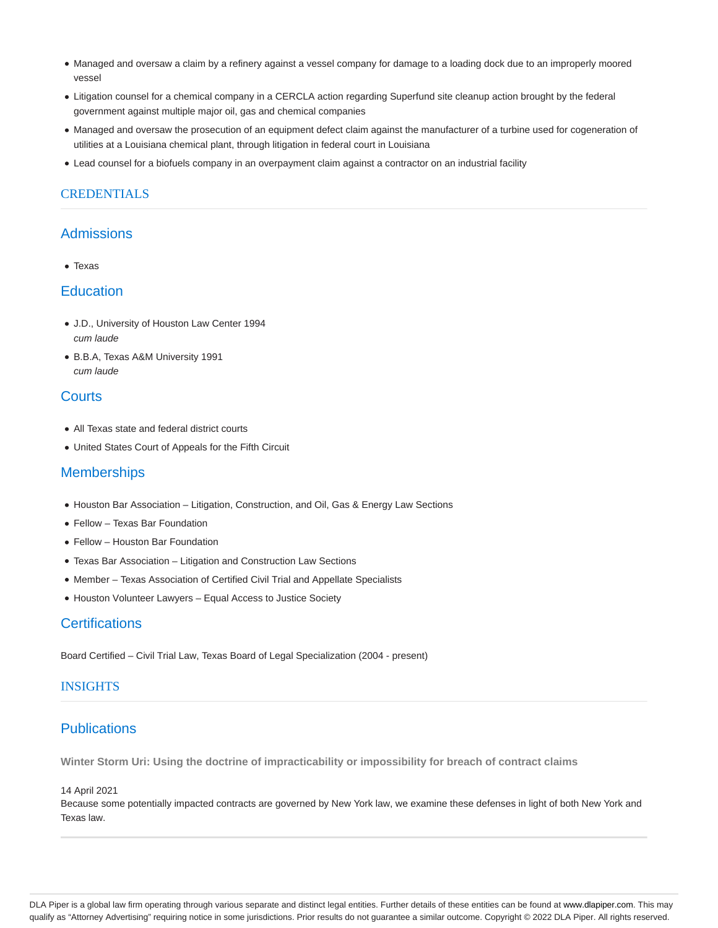- Managed and oversaw a claim by a refinery against a vessel company for damage to a loading dock due to an improperly moored vessel
- Litigation counsel for a chemical company in a CERCLA action regarding Superfund site cleanup action brought by the federal government against multiple major oil, gas and chemical companies
- Managed and oversaw the prosecution of an equipment defect claim against the manufacturer of a turbine used for cogeneration of utilities at a Louisiana chemical plant, through litigation in federal court in Louisiana
- Lead counsel for a biofuels company in an overpayment claim against a contractor on an industrial facility

## **CREDENTIALS**

### Admissions

• Texas

### **Education**

- J.D., University of Houston Law Center 1994 cum laude
- B.B.A, Texas A&M University 1991 cum laude

# **Courts**

- All Texas state and federal district courts
- United States Court of Appeals for the Fifth Circuit

# **Memberships**

- Houston Bar Association Litigation, Construction, and Oil, Gas & Energy Law Sections
- Fellow Texas Bar Foundation
- Fellow Houston Bar Foundation
- Texas Bar Association Litigation and Construction Law Sections
- Member Texas Association of Certified Civil Trial and Appellate Specialists
- Houston Volunteer Lawyers Equal Access to Justice Society

# **Certifications**

Board Certified – Civil Trial Law, Texas Board of Legal Specialization (2004 - present)

## **INSIGHTS**

# **Publications**

**Winter Storm Uri: Using the doctrine of impracticability or impossibility for breach of contract claims**

14 April 2021

Because some potentially impacted contracts are governed by New York law, we examine these defenses in light of both New York and Texas law.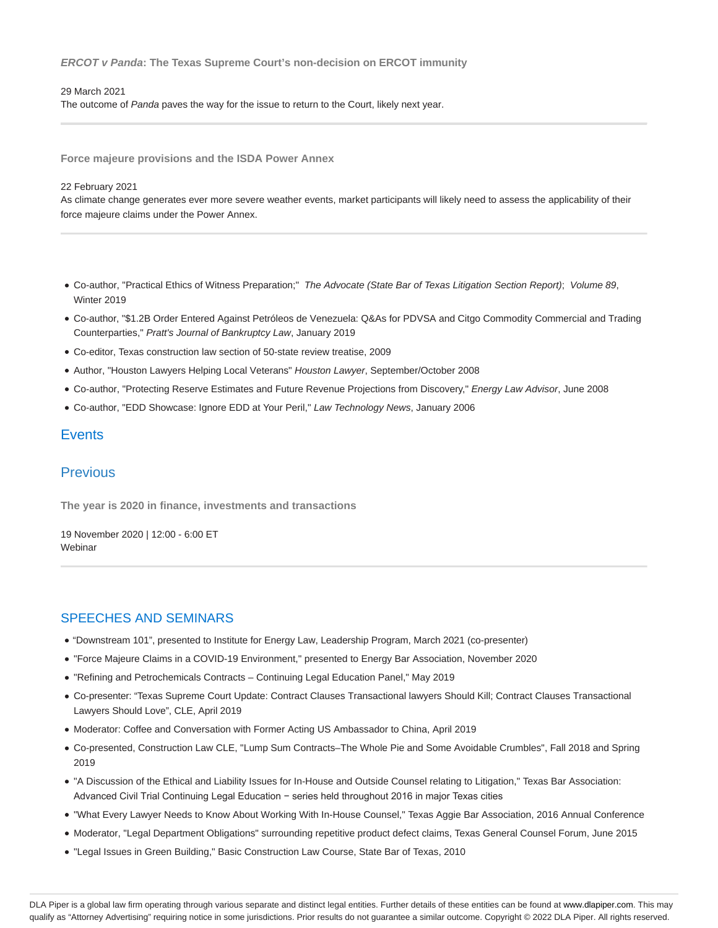#### **ERCOT v Panda: The Texas Supreme Court's non-decision on ERCOT immunity**

#### 29 March 2021

The outcome of Panda paves the way for the issue to return to the Court, likely next year.

**Force majeure provisions and the ISDA Power Annex**

#### 22 February 2021

As climate change generates ever more severe weather events, market participants will likely need to assess the applicability of their force majeure claims under the Power Annex.

- Co-author, "Practical Ethics of Witness Preparation;" The Advocate (State Bar of Texas Litigation Section Report); Volume 89, Winter 2019
- Co-author, "\$1.2B Order Entered Against Petróleos de Venezuela: Q&As for PDVSA and Citgo Commodity Commercial and Trading Counterparties," Pratt's Journal of Bankruptcy Law, January 2019
- Co-editor, Texas construction law section of 50-state review treatise, 2009
- Author, "Houston Lawyers Helping Local Veterans" Houston Lawyer, September/October 2008
- Co-author, "Protecting Reserve Estimates and Future Revenue Projections from Discovery," Energy Law Advisor, June 2008
- Co-author, "EDD Showcase: Ignore EDD at Your Peril," Law Technology News, January 2006

### **Events**

# Previous

**The year is 2020 in finance, investments and transactions**

19 November 2020 | 12:00 - 6:00 ET Webinar

### SPEECHES AND SEMINARS

- "Downstream 101", presented to Institute for Energy Law, Leadership Program, March 2021 (co-presenter)
- "Force Majeure Claims in a COVID-19 Environment," presented to Energy Bar Association, November 2020
- "Refining and Petrochemicals Contracts Continuing Legal Education Panel," May 2019
- Co-presenter: "Texas Supreme Court Update: Contract Clauses Transactional lawyers Should Kill; Contract Clauses Transactional Lawyers Should Love", CLE, April 2019
- Moderator: Coffee and Conversation with Former Acting US Ambassador to China, April 2019
- Co-presented, Construction Law CLE, "Lump Sum Contracts–The Whole Pie and Some Avoidable Crumbles", Fall 2018 and Spring 2019
- "A Discussion of the Ethical and Liability Issues for In-House and Outside Counsel relating to Litigation," Texas Bar Association: Advanced Civil Trial Continuing Legal Education − series held throughout 2016 in major Texas cities
- "What Every Lawyer Needs to Know About Working With In-House Counsel," Texas Aggie Bar Association, 2016 Annual Conference
- Moderator, "Legal Department Obligations" surrounding repetitive product defect claims, Texas General Counsel Forum, June 2015
- "Legal Issues in Green Building," Basic Construction Law Course, State Bar of Texas, 2010